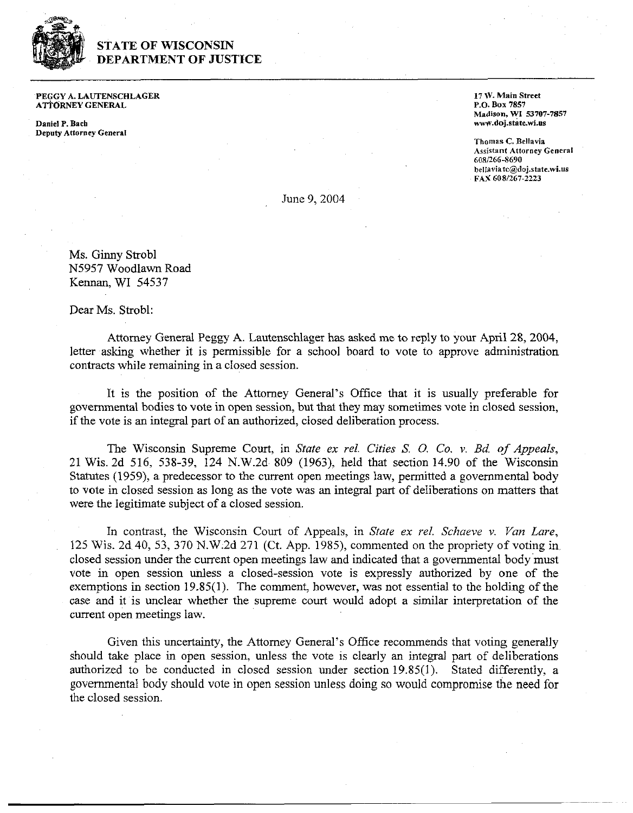

## **STATE OF WISCONSIN DEPARTMENT OF JUSTICE**

PEGGY **A.** LAUTENSCHLAGER ATTORNEY GENERAL

Daniel P. **Bach**  Deputy Attorney General 17 W. Main Street P.O. **Box <sup>7857</sup> Madison, WI 53707-7857**  nwn.doj.state.wi.us

**Thomas C.** Bellavia Assistant Attorney General **6081266-8690 bellasiatc@doj.state.wi.tls**  FAX **6081267-2223** 

June 9,2004

Ms. Ginny Strobl N5957 Woodlawn Road Kennan, WI 54537

Dear Ms. Strobl:

Attorney General Peggy A. Lautenschlager has asked me to reply to your April 28,2004, letter asking whether it is permissible for a school board to vote to approve administration contracts while remaining in a closed session.

It is the position of the Attorney General's Office that it is usually preferable for governmental bodies to vote in open session, but that they may sometimes vote in closed session, if the vote is an integral part of an authorized, closed deliberation process.

The Wisconsin Supreme Court, in *State ex rel. Cities S.* 0. *Co. v. Bd* of *Appeals,*  21 Wis. 2d 516, 538-39, 124 N.W.2d 809 (1963), held that section 14.90 of the Wisconsin Statutes (1959), a predecessor to the current open meetings law, permitted a governmental body to vote in closed session as long as the vote was an integral part of deliberations on matters that were the legitimate subject of a closed session.

In contrast, the Wisconsin Court of Appeals, in *State ex rel. Schaeve* **v.** *Van Lare,*  125 Wis. 2d 40, 53, 370 N.W.2d 271 (Ct. App. 1985), commented on the propriety of voting in closed session under the current open meetings law and indicated that a governmental body must vote in open session unless a closed-session vote is expressly authorized by one of the exemptions in section 19.85(1). The comment, however, was not essential to the holding of the case and it is unclear whether the supreme court would adopt a similar interpretation of the current open meetings law.

Given this uncertainty, the Attorney General's Office recommends that voting generally should take place in open session, unless the vote is clearly an integral part of deliberations authorized to be conducted in closed session under section 19.85(1). Stated differently, a governmental body should vote in open session unless doing so would compromise the need for the closed session.